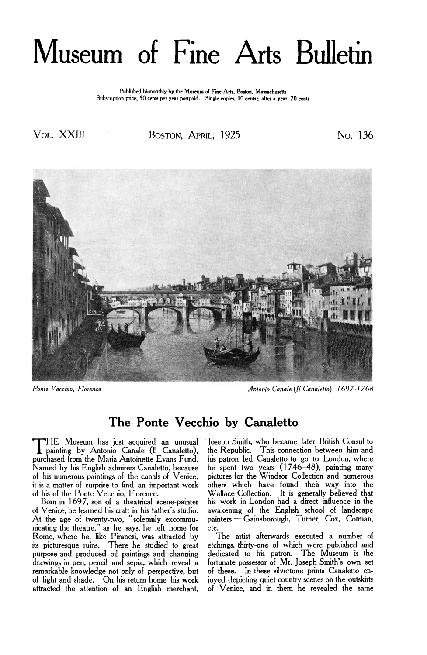# Museum of Fine Arts Bulletin

**Published bi-monthly by the Museum of Fine Arts, Boston. Massachusetts Subscription price. 50 cents per year postpaid. Single copies, 10 cents: after a year, 20 cents** 

Vol. XXIII BOSTON, APRIL, 1925 No. 136



*Ponte Vecchio, Florence Antonio Canale (Il Canaletto), 1697- I768* 

## **The Ponte Vecchio by Canaletto**

of Venice, he learned his craft in his father's studio. awakening of the English school of landscape At the age of twenty-two, "solemnly excommu-<br>nicating the theatre," as he says, he left home for etc. nicating the theatre," as he says, he left home for etc. remarkable knowledge not only of perspective, but of light and shade. On his return home his work

THE Museum has just acquired an unusual Joseph-Smith, who became later British-Consul-to-<br>painting by Antonio Canale (Il Canaletto), the Republic. This connection between him and<br>purchased from the Maria Antoinette Evans F Named by his English admirers Canaletto, because he spent two years (1746-48), painting many of his numerous paintings of the canals of Venice, pictures for the Windsor Collection and numerous it is a matter of surprise to find an important work others which have found their way into the of his of the Ponte Vecchio, Florence.<br>Born in 1697, son of a theatrical scene-painter his work in London had a direct influen of his of the Ponte Vecchio, Florence. Wallace Collection. It is generally believed that Born in 1697, son of a theatrical scene-painter his work in London had a direct influence in the

Rome, where he, like Piranesi, was attracted by The artist afterwards executed a number of its picturesque ruins. There he studied to great etchings, thirty-one of which were published and purpose and produced oil paintings and charming dedicated to his patron. The Museum is the purpose and produced oil paintings and charming dedicated to his patron. The Museum is the drawings in pen, pencil and sepia, which reveal a fortunate possessor of Mr. Joseph Smith's own set remarkable knowledge not only o of light and shade. On his return home his work joyed depicting quiet country scenes on the outskirts of Venice, and in them he revealed the same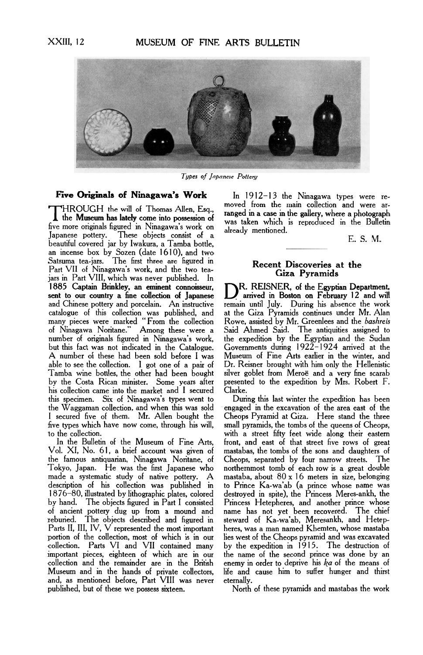

*Types of Japanese Pottery* 

THROUGH the will of Thomas Allen, Esq.,<br>the Museum has lately come into possession of<br>five more originals figured in Ninagawa's work on<br>Japanese pottery. These objects consist of a<br>Japanese pottery. These objects consist o beautiful covered jar by Iwakura, a Tamba bottle, an incense box by Sozen (date 1610), and two Satsuma tea-jars. The first three are figured in **Recent Discoveries at the Part VII** of Ninggazua's work and the two tea Batsuma tea-jars. The first three are figured in<br>Part VII of Ninagawa's work, and the two tea-**Battle Contract Ciza Pyramids** jars in Part VIII, which was never published. In 1885 Captain Brinkley, an eminent connoisseur, sent to our country a fine collection of Japanese<br>and Chinese pottery and porcelain. An instructive catalogue of this collection was published, and at the Giza Pyramids continues under Mr. Alan of Ninagawa Noritane." Among these were a Said Ahmed Said. The antiquities assigned to A number of these had been sold before I was Museum of Fine Arts earlier in the winter, and able to see the collection. **I** got one of a pair of Dr. Reisner brought with him only the Hellenistic by the Costa Rican minister. Some years after presented to the expedition by Mrs. Robert F. his collection came into the market and **I** secured Clarke. this specimen. Six of Ninagawa's types went to During this last winter the expedition has been the Waggaman collection, and when this was sold engaged in the excavation of the area east of the I secured five of them. Mr. Allen bought the Cheops Pyramid at Giza. Here stand the three

the famous antiquarian, Ninagawa Noritane, of Cheops, separated by four narrow streets. The made a systematic study of native pottery. A mastaba, about 80 x 16 meters in size, belonging description of his collection was published in to Prince Ka-wa'ab (a prince whose name was 1876–80, illustrated by lithographic description of his collection was published in to Prince Ka-wa'ab (a prince whose name was by hand. The objects figured in Part I consisted Princess Hetepheres, and another prince whose of ancient pottery dug up from a mound and name has not yet been recovered. The chief reburied. The objects described and figured in steward of Ka-wa'ab, Meresankh, and Hetep-Parts II, **III,** IV, V represented the most important heres, was a man named Khemten, whose mastaba portion of the collection, most of which is in our lies west of the Cheops pyramid and was excavated collection. Parts VI and VII contained many by the expedition in 1915. The destruction of collection. Parts VI and VII contained many by the expedition in  $1915$ . The destruction of important pieces, eighteen of which are in our the name of the second prince was done by an collection and the remainder are in t Museum and in the hands of private collectors, life and cause him to suffer hunger and thirst and, as mentioned before, Part VIII was never eternally.

**Five Originals of Ninagawa's Work** In 1912–13 the Ninagawa types were re-<br> **ENDOUCH** the will of Themes Alles Eq. moved from the main collection and were ar-

E. S. M.

R. REISNER, of the Egyptian Department, arrived in Boston on February 12 and will remain until July. During his absence the work<br>at the Giza Pyramids continues under Mr. Alan many pieces were marked "From the collection Rowe, assisted by Mr. Greenlees and the *bashreis*  number of originals figured in Ninagawa's work, the expedition by the Egyptian and the Sudan but this fact was not indicated in the Catalogue. Governments during 1922-1924 arrived at the silver goblet from Meroe and a very fine scarab

small pyramids, the tombs of the queens of Cheops, to the collection. with a street fifty feet wide along their eastern In the Bulletin of the Museum of Fine Arts, front, and east of that street five rows of great In the Bulletin of the Museum of Fine Arts, front, and east of that street five rows of great Vol. XI, No. 61, a brief account was given of mastabas, the tombs of the sons and daughters of the famous antiquarian, Ninagawa northernmost tomb of each row is a great double 1876-80, illustrated by lithographic plates, colored destroyed in spite), the Princess Meres-ankh, the enemy in order to deprive his *ka* of the means of

North of these pyramids and mastabas the work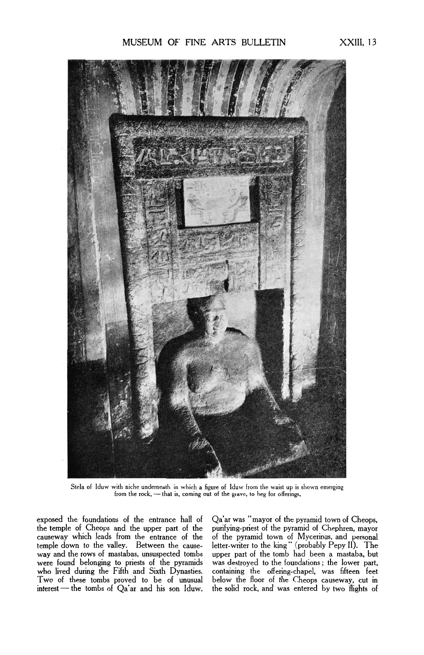

Stela of Iduw with niche underneath in which a figure **of** Iduw from the waist up is shown emerging from the rock, - that is, coming out of the grave, to beg for offerings.

exposed the foundations of the entrance hall of Qa'ar was "mayor of the pyramid town of Cheops, the temple of Cheops and the upper part of the purifying-priest of the pyramid of Chephren, mayor the temple of Cheops and the upper part of the purifying-priest of the pyramid of Chephren, mayor<br>causeway which leads from the entrance of the of the pyramid town of Mycerinus, and personal were found belonging to priests of the pyramids was destroyed to the foundations; the lower part, who lived during the Fifth and Sixth Dynasties. containing the offering-chapel, was fifteen feet Two of these tombs proved t

causeway which leads from the entrance of the of the pyramid town of Mycerinus, and personal temple down to the valley. Between the cause- letter-writer to the king " (probably Pepy **II).** The way and the rows of mastabas, unsuspected tombs upper part of the tomb had been a mastaba, but were found belonging to priests of the pyramids was destroyed to the foundations ; the lower part, who lived during the Fifth and Sixth Dynasties. containing the offering-chapel, was fifteen feet below the floor of the Cheops causeway, cut in<br>the solid rock, and was entered by two flights of